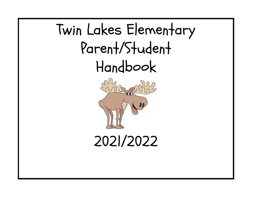# Twin Lakes Elementary Parent/Student Handbook



2021/2022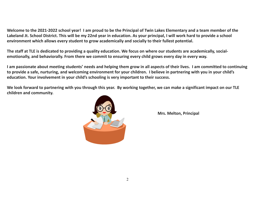Welcome to the 2021-2022 school year! I am proud to be the Principal of Twin Lakes Elementary and a team member of the Lakeland Jt. School District. This will be my 22nd year in education. As your principal, I will work hard to provide a school **environment which allows every student to grow academically and socially to their fullest potential.**

The staff at TLE is dedicated to providing a quality education. We focus on where our students are academically, social**emotionally, and behaviorally. From there we commit to ensuring every child grows every day in every way.**

I am passionate about meeting students' needs and helping them grow in all aspects of their lives. I am committed to continuing to provide a safe, nurturing, and welcoming environment for your children. I believe in partnering with you in your child's **education. Your involvement in your child's schooling is very important to their success.**

We look forward to partnering with you through this year. By working together, we can make a significant impact on our TLE **children and community.**



**Mrs. Melton, Principal**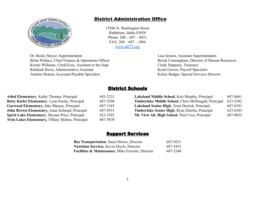

## District Administration Office

15506 N. Washington Street Rathdrum, Idaho 83858 Phone: 208 – 687 – 0431 FAX: 208 – 687 – 1884 [www.sd272.org](http://www.sd272.org)

Dr. Becky Meyer, Superintendent Lisa Sexton, Assistant Superintendent Brian Wallace, Chief Finance & Operations Officer Brook Cunningham, Director of Human Resources Kristie Williams, Clerk/Exec. Assistant to the Supt. Cindy Happeny, Treasurer Rebekah Davis, Administrative Assistant Kristi Graves, Payroll Specialist Annette Beaton, Accounts/Payable Specialist Kelsie Badger, Special Services Director

## District Schools

| <b>Athol Elementary, Kathy Thomas, Principal</b>       | 683-2231 | Lakeland Middle School, Keri Murphy, Principal       | 687-0661 |
|--------------------------------------------------------|----------|------------------------------------------------------|----------|
| Betty Kiefer Elementary, Lynn Paslay, Principal        | 687-5206 | Timberlake Middle School, Chris McDougall, Principal | 623-2582 |
| <b>Garwood Elementary, Jake Massey, Principal</b>      | 687-1265 | Lakeland Senior High, Trent Derrick, Principal       | 687-0181 |
| John Brown Elementary, Anna Schnepf, Principal         | 687-0551 | Timberlake Senior High, Ryne Eberlin, Principal      | 623-6303 |
| <b>Spirit Lake Elementary, Shynne Price, Principal</b> | 623-2501 | Mt. View Alt. High School, Paul Uzzi, Principal      | 687-0025 |
| Twin Lakes Elementary, Tiffany Melton, Principal       | 687-5870 |                                                      |          |

| 687-0661                                                         |
|------------------------------------------------------------------|
| Timberlake Middle School, Chris McDougall, Principal<br>623-2582 |
| 687-0181                                                         |
| 623-6303                                                         |
| 687-0025                                                         |
|                                                                  |

## Support Services

| <b>Bus Transportation, Susie Moore, Director</b>             | 687-0221 |
|--------------------------------------------------------------|----------|
| <b>Nutrition Services, Kevin Doyle, Director</b>             | 687-5451 |
| <b>Facilities &amp; Maintenance, Mike Ferriola, Director</b> | 687-2248 |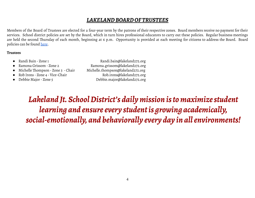## *LAKELANDBOARDOF TRUSTEES*

Members of the Board of Trustees are elected for a four-year term by the patrons of their respective zones. Board members receive no payment for their services. School district policies are set by the Board, which in turn hires professional educators to carry out these policies. Regular business meetings are held the second Thursday of each month, beginning at 6 p.m. Opportunity is provided at each meeting for citizens to address the Board. Board policies can be found [here.](https://www.sd272.org/school-board/policies)

#### **Trustees**

- 
- 
- Michelle Thompson Zone 3 Chair Michelle.thompson@lakeland272.org
- 
- 
- Randi Bain Zone 1 Randi.bain@lakeland272.org ● Ramona Grissom - Zone 2 Ramona.grissom@lakeland272.org Rob Irons - Zone 4 - Vice-Chair Rob.irons@lakeland272.org ● Debbie Major- Zone 5 [Debbie.major@lakeland272.org](mailto:Debbie.major@lakeland272.org)

*Lakeland Jt. SchoolDistrict's dailymission istomaximizestudent learning* and ensure every student is growing academically, *social-emotionally, and behaviorally every day in allenvironments!*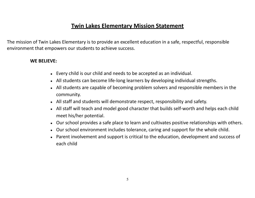## **Twin Lakes Elementary Mission Statement**

The mission of Twin Lakes Elementary is to provide an excellent education in a safe, respectful, responsible environment that empowers our students to achieve success.

## **WE BELIEVE:**

- Every child is our child and needs to be accepted as an individual.
- All students can become life-long learners by developing individual strengths.
- All students are capable of becoming problem solvers and responsible members in the community.
- All staff and students will demonstrate respect, responsibility and safety.
- All staff will teach and model good character that builds self-worth and helps each child meet his/her potential.
- Our school provides a safe place to learn and cultivates positive relationships with others.
- Our school environment includes tolerance, caring and support for the whole child.
- Parent involvement and support is critical to the education, development and success of each child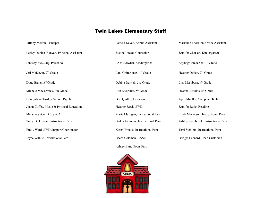## **Twin Lakes Elementary Staff**

Jeri McDevitt, 2<sup>nd</sup> Grade

Doug Baker, 3<sup>rd</sup> Grade

Tiffany Melton, Principal **Pamela Davaz, Admin Assistant** Marianne Thornton, Office Assistant Pamela Davaz, Admin Assistant Marianne Thornton, Office Assistant

Lindsey McCuaig, Preschool **Example 19 Except Frederick** Erica Bowden, Kindergarten

Lani Ghirarduzzi, 1<sup>st</sup> Grade

Debbie Derrick, 3rd Grade

Michele McCormick, 4th Grade Rob Edelblute, 5<sup>th</sup> Grade

Joann Coffey, Music & Physical Education Heather Jezek, SWD Jennifer Rude, Reading

Ashley Barr, Noon Duty



Lesley Dunbar-Runyan, Principal Assistant Justine Litzko, Counselor Jennifer Clauson, Kindergarten Kayleigh Frederick, 1<sup>st</sup> Grade st Grade Heather Ogden, 2<sup>nd</sup> Grade Lisa Mashburn, 4<sup>th</sup> Grade th Grade Deanna Watkins, 5<sup>th</sup> Grade Honey-Jean Tinsley, School Psych Geri Geri Guillin, Librarian April Mueller, Computer Tech Melanie Spicer, RBIS & Art **Maria Mulligan, Instructional Para** Linda Masterson, Instructional Para Tracy Dickinson**,** Instructional Para Bailey Andrews, Instructional Para Ashley Stainbrook, Instructional Para Emily Ward, SWD Support Coordinator **Karen Brooks, Instructional Para** Terri Sjoblom, Instructional Para Joyce Wilhite, Instructional Para **Becca Coleman, BASE** Bridget Leonard, Head Custodian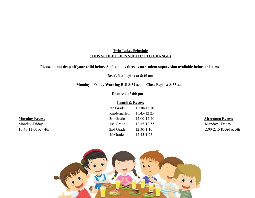## **Twin Lakes Schedule (THIS SCHEDULE IS SUBJECT TO CHANGE)**

**Please do not drop off your child before 8:40 a.m. as there is no student supervision available before this time.**

**Breakfast begins at 8:40 am**

**Monday - Friday Warning Bell 8:52 a.m. Class Begins: 8:55 a.m.**

**Dismissal: 3:00 pm**

## **Lunch & Recess**

|                               | 5th Grade    | $11:30-12:10$   |                         |
|-------------------------------|--------------|-----------------|-------------------------|
|                               | Kindergarten | $11:45-12:25$   |                         |
| <b>Morning Recess</b>         | 3rd Grade    | $12:00-12:40$   | <b>Afternoon Recess</b> |
| Monday-Friday                 | 1st Grade    | $12:15 - 12:55$ | Monday - Friday         |
| $10:45-11:00 \text{ K} - 4th$ | 2nd Grade    | $12:30-1:10$    | $2:00-2:15$ K-3rd & 5th |
|                               | 4thGrade     | $12:45-1:25$    |                         |

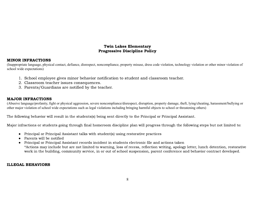## Twin Lakes Elementary Progressive Discipline Policy

## MINOR INFRACTIONS

(Inappropriate language, physical contact, defiance, disrespect, noncompliance, property misuse, dress code violation, technology violation or other minor violation of school wide expectations)

- 1. School employee gives minor behavior notification to student and classroom teacher.
- 2. Classroom teacher issues consequences.
- 3. Parents/Guardians are notified by the teacher.

## MAJOR INFRACTIONS

(Abusive language/profanity, fight or physical aggression, severe noncompliance/disrespect, disruption, property damage, theft, lying/cheating, harassment/bullying or other major violation of school wide expectations such as legal violations including bringing harmful objects to school or threatening others)

The following behavior will result in the students(s) being sent directly to the Principal or Principal Assistant.

Major infractions or students going through final homeroom discipline plan will progress through the following steps but not limited to:

- Principal or Principal Assistant talks with student(s) using restorative practices
- Parents will be notified
- Principal or Principal Assistant records incident in students electronic file and actions taken \*Actions may include but are not limited to warning, loss of recess, reflection writing, apology letter, lunch detention, restorative work in the building, community service, in or out of school suspension, parent conference and behavior contract developed.

## ILLEGAL BEHAVIORS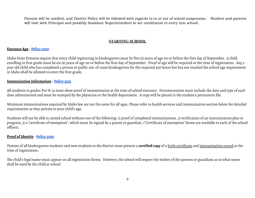Parents will be notified, and District Policy will be followed with regards to in or out of school suspension. Student and parents will visit with Principal and possibly Assistant Superintendent to set conditional re-entry into school.

## **STARTING SCHOOL**

#### **Entrance Age - [Policy](https://resources.finalsite.net/images/v1530247272/lakeland272org/nuf1k7an30op8gnq20is/3000-EntrancePlacementandTransfer.pdf) 3000**

Idaho State Statutes require that every child registering in kindergarten must be five (5) years of age on or before the first day of September. A child enrolling in first grade must be six (6) years of age on or before the first day of September. Proof of age will be required at the time of registration. Any 5 year old child who has completed a private or public out-of-state kindergarten for the required 450 hours but has not reached the school age requirement in Idaho shall be allowed to enter the first grade.

## **Immunization Information - [Policy](https://resources.finalsite.net/images/v1601308805/lakeland272org/cygqhlwa2ih78wowlslb/3525-Immunizations.pdf) 3525**

All students in grades Pre-K-12 must show proof of immunization at the time of school entrance. Documentation must include the date and type of each dose administered and must be stamped by the physician or the health department. A copy will be placed in the student's permanent file.

Minimum immunizations required by Idaho law are not the same for all ages. Please refer to health services and immunization section below for detailed requirements as they pertain to your child's age.

Students will not be able to attend school without one of the following: 1) proof of completed immunizations, 2) verification of an immunization plan in progress, 3) a "certificate of exemption", which must be signed by a parent or guardian. ("Certificate of exemption" forms are available in each of the school offices).

## **Proof ofIdentity - [Policy](https://resources.finalsite.net/images/v1530247272/lakeland272org/nuf1k7an30op8gnq20is/3000-EntrancePlacementandTransfer.pdf) 3000**

Parents of all kindergarten students and new students to the district must present a **certified copy** of a birth certificate and immunization record at the time of registration.

The child's legal name must appear on all registration forms. However, the school will respect the wishes of the parents or guardians as to what name shall be used by the child at school.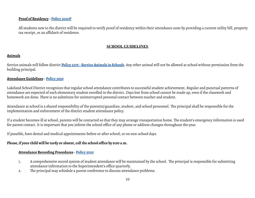## **Proof of Residency - [Policy](https://resources.finalsite.net/images/v1607626938/lakeland272org/rafesjlzqzixmvrryd0k/3020P-ProcedureforProofofResidence.pdf) 3020P**

All students new to the district will be required to verify proof of residency within their attendance zone by providing a current utility bill, property tax receipt, or an affidavit of residence.

## **SCHOOL GUIDELINES**

## **Animals**

Service animals will follow district **Policy 2375 - Service [Animals](https://resources.finalsite.net/images/v1625796819/lakeland272org/sehgdo6afc0muyeetsmw/2375-ServiceAnimalsinSchools.pdf) in Schools**. Any other animal will not be allowed at school without permission from the building principal.

## **Attendance Guidelines - [Policy](https://resources.finalsite.net/images/v1530247272/lakeland272org/kgzurj4zdpqfvsholrwf/3050-AttendancePolicy.pdf) 3050**

Lakeland School District recognizes that regular school attendance contributes to successful student achievement. Regular and punctual patterns of attendance are expected of each elementary student enrolled in the district. Days lost from school cannot be made up, even if the classwork and homework are done. There is no substitute for uninterrupted personal contact between teacher and student.

Attendance at school is a shared responsibility of the parent(s)/guardian, student, and school personnel. The principal shall be responsible for the implementation and enforcement of the district student attendance policy.

If a student becomes ill at school, parents will be contacted so that they may arrange transportation home. The student's emergency information is used for parent contact.It is important that you inform the school office of any phone or address changes throughout the year.

If possible, have dental and medical appointments before or after school, or on non-school days.

## **Please, if your child will be tardy or absent, call the school office by 9:00 a.m.**

## **Attendance Recording Procedures - [Policy](https://resources.finalsite.net/images/v1607627363/lakeland272org/h1oleazgv2hyvpe8h8rx/3020-EnrollmentandAttendanceRecords.pdf) 3020**

- 1. A comprehensive record system of student attendance will be maintained by the school. The principal is responsible for submitting attendance information to the Superintendent's office quarterly.
- 2. The principal may schedule a parent conference to discuss attendance problems.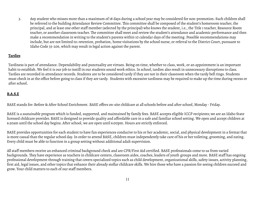3. Any student who misses more than a maximum of 18 days during a school year may be considered for non-promotion. Such children shall be referred to the building Attendance Review Committee. This committee shall be composed of the student's homeroom teacher, the principal, and at least one other staff member (selected by the principal) who knows the student, i.e., the Title 1 teacher, Resource Room teacher, or another classroom teacher. The committee shall meet and review the student's attendance and academic performance and then make a recommendation in writing to the student's parents within 10 calendar days of the meeting. Possible recommendations may include, but are not limited to: retention, probation, home visitations by the school nurse, or referral to the District Court, pursuant to Idaho Code 33-206, which may result in legal action against the parent.

## **Tardies**

Tardiness is part of attendance. Dependability and punctuality are virtues. Being on time, whether to class, work, or an appointment is an important habit to establish. We feel it is our job to instill in our students sound work ethics.In school, tardies also result in unnecessary disruptions to class. Tardies are recorded in attendance records. Students are to be considered tardy if they are not in their classroom when the tardy bell rings. Students must check in at the office before going to class if they are tardy. Students with excessive tardiness may be required to make up the time during recess or after school.

## **B.A.S.E**

BASE stands for: Before & After School Enrichment. BASE offers on-site childcare at all schools before and after school, Monday - Friday.

BASE is a sustainable program which is funded, supported, and maintained by family fees. BASE accepts eligible ICCP recipients; we are an Idaho State licensed childcare provider. BASE is designed to provide quality and affordable care in a safe and familiar school setting. We open and accept children at 6:30am until the school day begins. After school, we are open until 6:00pm. Hours are strictly enforced.

BASE provides opportunities for each student to have fun experiences conducive to his or her academic, social, and physical development in a format that is more casual than the regular school day.In order to attend BASE, children must independently take care of his or her toileting, grooming, and eating. Every child must be able to function in a group setting without additional adult supervision.

All staff members receive an enhanced criminal background check and are CPR/First Aid certified. BASE professionals come to us from varied backgrounds. They have experience as teachers in childcare centers, classroom aides, coaches, leaders of youth groups and more. BASE staff has ongoing professional development through training that covers specialized topics such as child development, organizational skills, safety issues, activity planning, first aid, legal issues, and other topics that enhance their already stellar childcare skills. We hire those who have a passion for seeing children succeed and grow. Your child matters to each of our staff members.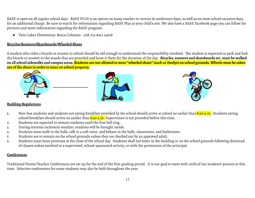BASE is open on all regular school days. BASE PLUS is an option on many teacher in-service & conference days, as well as on most school vacation days, for an additional charge. Be sure to watch for information regarding BASE Plus at your child's site. We also have a BASE Facebook page you can follow for pictures and more information regarding the BASE program.

● Twin Lakes Elementary: Becca Coleman - 208.712.8412 x4618

## **Bicycles/Scooters/Skateboards/Wheeled Shoes**

A student who rides a bicycle or scooter to school should be old enough to understand the responsibility involved. The student is expected to park and lock the bicycle or scooter in the stands that are provided and leave it there for the duration of the day. **Bicycles, scooters and skateboards etc. must be walked** on all school sidewalks and campus areas. Students are not allowed to wear "wheeled shoes" (such as Heelys) on school grounds. Wheels must be taken **out of the shoes in order to wear on school property.**







## **Building Regulations**

- **1.** Non-bus students and students not eating breakfast provided by the school should arrive at school no earlier than 8:40 a.m. Students eating school breakfast should arrive no earlier than  $8:40$  a.m. Supervision is not provided before this time.
- 2. Students are expected to remain outdoors until the first bell ring.
- 3. During extreme inclement weather, students will be brought inside.
- 4. Students must walk in the halls, talk in a soft voice, and behave in the halls, classrooms, and bathrooms.
- 5. Students are to remain on the school grounds unless they are checked out by an approved adult.
- 6. Students must leave premises at the close of the school day. Students shall not loiter in the building or on the school grounds following dismissal of classes unless involved in a supervised, school-sponsored activity, or with the permission of the principal.

## **Conferences**

Traditional Parent/Teacher Conferences are set up for the end of the first grading period. It is our goal to meet with 100% of our students' parents at this time. Selective conferences for some students may also be held throughout the year.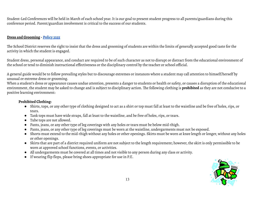Student-Led Conferences will be held in March of each school year. It is our goal to present student progress to all parents/guardians during this conference period. Parent/guardian involvement is critical to the success of our students.

## **Dress and Grooming - [Policy](https://resources.finalsite.net/images/v1624901531/lakeland272org/qkaomon909fxxmhsxxby/3255-StudentDress.pdf) 3255**

The School District reserves the right to insist that the dress and grooming of students are within the limits of generally accepted good taste for the activity in which the student is engaged.

Student dress, personal appearance, and conduct are required to be of such character as not to disrupt or distract from the educational environment of the school or tend to diminish instructional effectiveness or the disciplinary control by the teacher or school official.

A general guide would be to follow prevailing styles but to discourage extremes or instances where a student may call attention to himself/herself by unusual or extreme dress or grooming.

When a student's dress or appearance causes undue attention, presents a danger to students or health or safety, or causes a disruption of the educational environment, the student may be asked to change and is subject to disciplinary action. The following clothing is **prohibited** as they are not conducive to a positive learning environment:

## **Prohibited Clothing:**

- Shirts, tops, or any other type of clothing designed to act as a shirt or top must fall at least to the waistline and be free of holes, rips, or tears.
- Tank tops must have wide straps, fall at least to the waistline, and be free of holes,rips, or tears.
- Tube tops are not allowed.
- Pants, jeans, or any other type of leg coverings with any holes or tears must be below mid-thigh.
- Pants, jeans, or any other type of leg coverings must be worn at the waistline, undergarments must not be exposed.
- Shorts must extend to the mid-thigh without any holes or other openings. Skirts must be worn at knee length or longer, without any holes or other openings.
- Skirts that are part of a district required uniform are not subject to the length requirement; however, the skirt is only permissible to be worn at approved school functions, events, or activities.
- All undergarments must be covered at all times and not visible to any person during any class or activity.
- If wearing flip flops, please bring shoes appropriate for use in P.E.

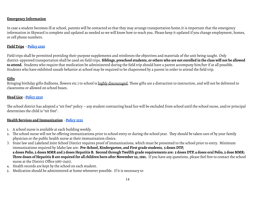## **Emergency Information**

In case a student becomes ill at school, parents will be contacted so that they may arrange transportation home.It is important that the emergency information in Skyward is complete and updated as needed so we will know how to reach you. Please keep it updated if you change employment, homes, or cell phone numbers.

## **Field Trips - [Policy](https://resources.finalsite.net/images/v1530246056/lakeland272org/ar7ofotyum7f182x1iuc/2550-FieldTripsExcursionsandOutdoorEducation.pdf) 2550**

Field trips shall be permitted providing their purpose supplements and reinforces the objectives and materials of the unit being taught. Only district-approved transportation shall be used on field trips. Siblings, preschool students, or others who are not enrolled in the class will not be allowed **to attend.** Students who require that medication be administered during the field trip should have a parent accompany him/her if at all possible. Students who have exhibited unsafe behavior at school may be required to be chaperoned by a parent in order to attend the field trip.

#### **Gifts**

Bringing birthday gifts (balloons, flowers etc.) to school is highly discouraged. These gifts are a distraction to instruction, and will not be delivered to classrooms or allowed on school buses.

#### **Head Lice - [Policy](https://resources.finalsite.net/images/v1530248039/lakeland272org/zufsha11imtqanamg1yz/3520-ContagiousorInfectiousDiseases.pdf) 3520**

The school district has adopted a "nit free" policy – any student contracting head lice will be excluded from school until the school nurse, and/or principal determines the child is "nit free".

## **Health Services and Immunization** - **[Policy](https://resources.finalsite.net/images/v1601308805/lakeland272org/cygqhlwa2ih78wowlslb/3525-Immunizations.pdf) 3525**

- 1. A school nurse is available at each building weekly.
- 2. The school nurse will not be offering immunizations prior to school entry or during the school year. They should be taken care of by your family physician or the public health nurse at their immunization clinics.
- 3. State law and Lakeland Joint School District requires proof of immunizations, which must be presented to the school prior to entry. Minimum immunizations required by Idaho law are: **Pre-School, Kindergarten, and First grade students, 5 doses DTP,** 4 doses Polio, 2 doses MMR and 3 doses Hepatitis B. Second through Twelfth grade requirements are: 5 doses DTP, 4 doses oral Polio, 2 dose MMR; Three doses of Hepatitis B are required for all children born after November 22, 1991. If you have any questions, please feel free to contact the school nurse at the District Office (687-0431).
- 4. Health records are kept by the school on each student.
- 5. Medication should be administered at home whenever possible. If it is necessary to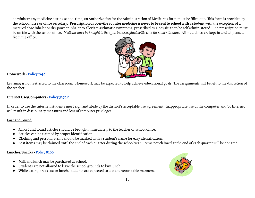administer any medicine during school time, an Authorization for the Administration of Medicines form must be filled out. This form is provided by the school nurse or office secretary. Prescription or over-the counter medicine is never to be sent to school with a student with the exception of a metered dose inhaler or dry powder inhaler to alleviate asthmatic symptoms, prescribed by a physician to be self administered. The prescription must be on file with the school office. Medicine must be brought to the office in the original bottle with the student's name. All medicines are kept in and dispensed from the office.



## **Homework - [Policy](https://resources.finalsite.net/images/v1530246232/lakeland272org/mkycklxl9naqp3el046m/2630-Homework.pdf) 2630**

Learning is not restricted to the classroom. Homework may be expected to help achieve educational goals. The assignments will be left to the discretion of the teacher.

## **Internet Use/Computers - [Policy](https://resources.finalsite.net/images/v1601308764/lakeland272org/pupcvjvzbjstrbygyqnm/3270P-AcceptableUseProcedure.pdf) 3270P**

In order to use the Internet, students must sign and abide by the district's acceptable use agreement. Inappropriate use of the computer and/or Internet will result in disciplinary measures and loss of computer privileges.

## **Lost and Found**

- All lost and found articles should be brought immediately to the teacher or school office.
- Articles can be claimed by proper identification.
- Clothing and personal items should be marked with a student's name for easy identification.
- Lost items may be claimed until the end of each quarter during the school year. Items not claimed at the end of each quarter will be donated.

## **Lunches/Snacks - [Policy](https://resources.finalsite.net/images/v1530251468/lakeland272org/tg83fufj5mcay0jg6x0n/8200-LocalSchoolWellness.pdf) 8200**

- Milk and lunch may be purchased at school.
- Students are not allowed to leave the school grounds to buy lunch.
- While eating breakfast or lunch, students are expected to use courteous table manners.

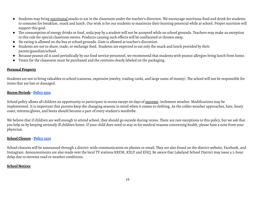- Students may bring nutritional snacks to eat in the classroom under the teacher's direction. We encourage nutritious food and drink for students to consume for breakfast, snack and lunch. Our wish is for our students to maximize their learning potential while at school. Proper nutrition will support this goal.
- The consumption of energy drinks or food, soda/pop by a student will not be accepted while on school grounds. Teachers may make an exception to this rule for special classroom events. Products causing such effects will be confiscated or thrown away.
- No eating is allowed on the bus or school grounds. Gum is allowed at teacher's discretion.
- Students are not to share, trade, or exchange food. Students are expected to eat only the snack and lunch provided by their parent/guardian/school.
- Because peanut oil is used periodically by our food service personnel, we recommend that students with peanut allergies bring lunch from home.
- Treats for the classroom must be purchased and the contents clearly labeled on the packaging.

## **Personal Property**

Students are not to bring valuables to school (cameras, expensive jewelry, trading cards, and large sums of money). The school will not be responsible for items that are lost or damaged.

## **Recess Periods - [Policy](https://resources.finalsite.net/images/v1592340722/lakeland272org/h82cnxi56t8blrlu8yft/3504-HealthandWellnessPolicy.pdf) 3504**

School policy allows all children an opportunity to participate in recess except on days of extreme, inclement weather. Modifications may be implemented. It is important that parents keep the changing seasons in mind when it comes to clothing. As the colder weather approaches, hats, heavy coats, mittens/gloves, and boots should become a part of every student's wardrobe.

We believe that if children are well enough to attend school, they should go outside during recess. There are rare exceptions to this policy, but we ask that you help us by keeping seriously ill children home. If your child does need to stay in for medical reasons concerning health, please have a note from your physician.

## **School Closure - [Policy](https://resources.finalsite.net/images/v1602692884/lakeland272org/eehwzsfzedthj5ci3883/2210-SchoolClosure-ProposedNew3.pdf) 2210**

School closures will be announced through a district-wide communication on phones or email. They are also found on the district website, Facebook, and Instagram. Announcements are also made over the local TV stations KREM, KXLY and KHQ. Be aware that Lakeland School District may issue a 2-hour delay due to extreme road or weather conditions.

## **School Notices**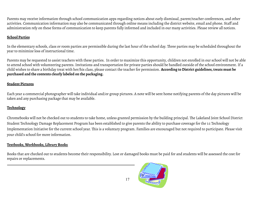Parents may receive information through school communication apps regarding notices about early dismissal, parent/teacher conferences, and other activities. Communication information may also be communicated through online means including the district website, email and phone. Staff and administration rely on these forms of communication to keep parents fully informed and included in our many activities. Please review all notices.

## **School Parties**

In the elementary schools, class or room parties are permissible during the last hour of the school day. Three parties may be scheduled throughout the year to minimize loss of instructional time.

Parents may be requested to assist teachers with these parties. In order to maximize this opportunity, children not enrolled in our school will not be able to attend school with volunteering parents. Invitations and transportation for private parties should be handled outside of the school environment. If a child wishes to share a birthday treat with her/his class, please contact the teacher for permission. **According to District guidelines,treats must be purchased and the contents clearly labeled on the packaging.**

## **Student Pictures**

Each year a commercial photographer will take individual and/or group pictures. A note will be sent home notifying parents of the day pictures will be taken and any purchasing package that may be available.

## **Technology**

Chromebooks will not be checked out to students to take home, unless granted permission by the building principal. The Lakeland Joint School District Student Technology Damage Replacement Program has been established to give parents the ability to purchase coverage for the 1:1 Technology Implementation Initiative for the current school year. This is a voluntary program. Families are encouraged but not required to participate. Please visit your child's school for more information.

## **Textbooks,Workbooks, Library Books**

Books that are checked out to students become their responsibility. Lost or damaged books must be paid for and students will be assessed the cost for repairs or replacements.

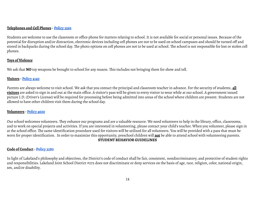## **Telephones and Cell Phones - [Policy](https://resources.finalsite.net/images/v1530247493/lakeland272org/ryu8dejmnqmqllb5zovx/3265-ElectronicCommunicationsDevices.pdf) 3265**

Students are welcome to use the classroom or office phone for matters relating to school. It is not available for social or personal issues. Because of the potential for disruption and/or distraction, electronic devices including cell phones are not to be used on school campuses and should be turned off and stored in backpacks during the school day. The photo options on cell phones are not to be used at school. The school is not responsible for lost or stolen cell phones.

## **Toys of Violence**

We ask that **NO** toy weapons be brought to school for any reason. This includes not bringing them for show and tell.

## **Visitors - [Policy](https://resources.finalsite.net/images/v1530248295/lakeland272org/f6urvtw4rqg8sumqiny7/4140-VisitorsinSchools.pdf) 4140**

Parents are always welcome to visit school. We ask that you contact the principal and classroom teacher in advance. For the security of students, **all visitors** are asked to sign in and out at the main office. A visitor's pass will be given to every visitor to wear while at our school. A government issued picture I.D. (Driver's License) will be required for processing before being admitted into areas of the school where children are present. Students are not allowed to have other children visit them during the school day.

## **Volunteers - [Policy](https://resources.finalsite.net/images/v1530248824/lakeland272org/y17seb3inpafudusf9mn/4600-VolunteerAssistance.pdf) 4600**

Our school welcomes volunteers. They enhance our programs and are a valuable resource. We need volunteers to help in the library, office, classrooms, and to work on special projects and activities. If you are interested in volunteering, please contact your child's teacher. When you volunteer, please sign in at the school office. The same identification procedure used for visitors will be utilized for all volunteers. You will be provided with a pass that must be worn for proper identification. In order to maximize this opportunity, preschool children will **not** be able to attend school with volunteering parents. **STUDENT BEHAVIOR GUIDELINES**

## **Code of Conduct- [Policy](https://resources.finalsite.net/images/v1626195216/lakeland272org/zrrlpdmvaalrnmyddvht/3280-EqualEducationNondiscriminationandSexEquity.pdf) 3280**

In light of Lakeland's philosophy and objectives, the District's code of conduct shall be fair, consistent, nondiscriminatory, and protective of student rights and responsibilities. Lakeland Joint School District #272 does not discriminate or deny services on the basis of age, race, religion, color, national origin, sex, and/or disability.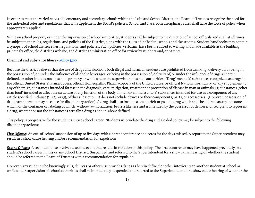In order to meet the varied needs of elementary and secondary schools within the Lakeland School District, the Board of Trustees recognize the need for the individual rules and regulations that will supplement the Board's policies. School and classroom disciplinary rules shall have the force of policy when appropriately applied.

While on school property or under the supervision of school authorities, students shall be subject to the direction of school officials and shall at all times be subject to the rules, regulations, and policies of the District, along with the rules of individual schools and classrooms. Student handbooks may contain a synopsis of school district rules, regulations, and policies. Such policies, verbatim, have been reduced to writing and made available at the building principal's office, the district's website, and district administration office for review by students and/or parents.

## **Chemical and Substance Abuse - [Policy](https://resources.finalsite.net/images/v1619733871/lakeland272org/jr0gqvnubofugg18xt20/3300-DrugFreeSchoolZone.pdf) 3300**

Because the district believes that the use of drugs and alcohol is both illegal and harmful, students are prohibited from drinking, delivery of, or being in the possession of, or under the influence of alcoholic beverages, or being in the possession of, delivery of, or under the influence of drugs as herein defined, or other intoxicants on school property or while under the supervision of school authorities. "Drug" means (1) substances recognized as drugs in the official United States Pharmacopoeia, official Homeopathic Pharmacopoeia of the United States, or official National Formulary, or any supplement to any of them; (2) substances intended for use in the diagnosis, care, mitigation, treatment or prevention of disease in man or animals; (3) substances (other than food) intended to affect the structure of any function of the body of man or animals; and (4) substances intended for use as a component of any article specified in clause (1), (2), or (3), of this subsection. It does not include devices or their components, parts, or accessories. (However, possession of drug paraphernalia may be cause for disciplinary action). A drug shall also include a counterfeit or pseudo drug which shall be defined as any substance which, or the container or labeling of which, without authorization, bears a likeness and is intended by the possessor or deliverer or recipient to represent a drug, whether or not the substance is actually a drug as her-in-above defined.

This policy is progressive for the student's entire school career. Students who violate the drug and alcohol policy may be subject to the following disciplinary actions:

*FirstOffense***:** An out-of-school suspension of up to five days with a parent conference and zeros for the days missed. A report to the Superintendent may result in a show cause hearing and/or recommendation for expulsion:

**Second Offense**: A second offense involves a second event that results in violation of this policy. The first occurrence may have happened previously in a student's school career in this or any School District. Suspended and referred to the Superintendent for a show cause hearing of whether the student should be referred to the Board of Trustees with a recommendation for expulsion.

However, any student who knowingly sells, delivers or otherwise provides drugs as herein defined or other intoxicants to another student at school or while under supervision of school authorities shall be immediately suspended and referred to the Superintendent for a show cause hearing of whether the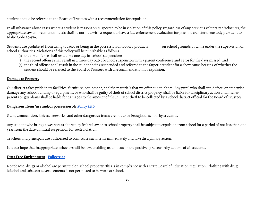student should be referred to the Board of Trustees with a recommendation for expulsion.

In all substance abuse cases where a student is reasonably suspected to be in violation of this policy, (regardless of any previous voluntary disclosure), the appropriate law enforcement officials shall be notified with a request to have a law enforcement evaluation for possible transfer to custody pursuant to Idaho Code 20-516.

Students are prohibited from using tobacco or being in the possession of tobacco products on school grounds or while under the supervision of school authorities. Violations of this policy will be punishable as follows:

- (1) the first offense shall result in a one day in-school-suspension;
- (2) the second offense shall result in a three day out-of-school suspension with a parent conference and zeros for the days missed; and
- (3) the third offense shall result in the student being suspended and referred to the Superintendent for a show cause hearing of whether the student should be referred to the Board of Trustees with a recommendation for expulsion.

## **Damage to Property**

Our district takes pride in its facilities, furniture, equipment, and the materials that we offer our students. Any pupil who shall cut, deface, or otherwise damage any school building or equipment, or who shall be guilty of theft of school district property, shall be liable for disciplinary action and his/her parents or guardians shall be liable for damages to the amount of the injury or theft to be collected by a school district official for the Board of Trustees.

## **Dangerous Items/use and/or possession of: [Policy](https://resources.finalsite.net/images/v1530247494/lakeland272org/s2kx9avyjiqugpdenabo/3330-StudentDiscipline.pdf) 3330**

Guns, ammunition, knives, fireworks, and other dangerous items are not to be brought to school by students.

Any student who brings a weapon as defined by federal law onto school property shall be subject to expulsion from school for a period of not less than one year from the date of initial suspension for such violation.

Teachers and principals are authorized to confiscate such items immediately and take disciplinary action.

It is our hope that inappropriate behaviors will be few, enabling us to focus on the positive, praiseworthy actions of all students.

## **Drug Free Environment- [Policy](https://resources.finalsite.net/images/v1619733871/lakeland272org/jr0gqvnubofugg18xt20/3300-DrugFreeSchoolZone.pdf) 3300**

No tobacco, drugs or alcohol are permitted on school property. This is in compliance with a State Board of Education regulation. Clothing with drug (alcohol and tobacco) advertisements is not permitted to be worn at school.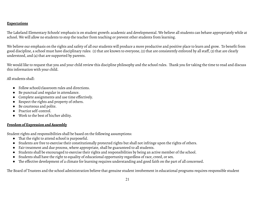## **Expectations**

The Lakeland Elementary Schools' emphasis is on student growth: academic and developmental. We believe all students can behave appropriately while at school. We will allow no students to stop the teacher from teaching or prevent other students from learning.

We believe our emphasis on the rights and safety of all our students will produce a more productive and positive place to learn and grow. To benefit from good discipline, a school must have disciplinary rules: (1) that are known to everyone, (2) that are consistently enforced by all staff, (3) that are clearly understood, and (4) that are supported by parents.

We would like to request that you and your child review this discipline philosophy and the school rules. Thank you for taking the time to read and discuss this information with your child.

All students shall:

- Follow school/classroom rules and directions.
- Be punctual and regular in attendance.
- Complete assignments and use time effectively.
- Respect the rights and property of others.
- Be courteous and polite.
- Practice self-control.
- Work to the best of his/her ability.

## **Freedom of Expression and Assembly**

Student rights and responsibilities shall be based on the following assumptions:

- That the right to attend school is purposeful.
- Students are free to exercise their constitutionally protected rights but shall not infringe upon the rights of others.
- Fair treatment and due process, where appropriate, shall be guaranteed to all students.
- Students shall be encouraged to exercise their rights and responsibilities by being an active member of the school.
- Students shall have the right to equality of educational opportunity regardless of race, creed, or sex.
- The effective development of a climate for learning requires understanding and good faith on the part of all concerned.

The Board of Trustees and the school administration believe that genuine student involvement in educational programs requires responsible student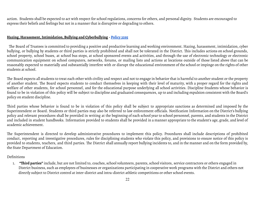action. Students shall be expected to act with respect for school regulations, concerns for others, and personal dignity. Students are encouraged to express their beliefs and feelings but not in a manner that is disruptive or degrading to others.

## **Hazing, Harassment,Intimidation,Bullying and Cyberbullying - [Policy](https://resources.finalsite.net/images/v1626196399/lakeland272org/lmg3p78ne6hsgkgjlucp/3295-HazingHarassmentIntimidationBullyingCyberBullying.pdf) 3295**

The Board of Trustees is committed to providing a positive and productive learning and working environment. Hazing, harassment, intimidation, cyber bullying, or bullying by students or third parties is strictly prohibited and shall not be tolerated in the District. This includes actions on school grounds, school property, school buses, at school bus stops, at school sponsored events and activities, and through the use of electronic technology or electronic communication equipment on school computers, networks, forums, or mailing lists and actions at locations outside of those listed above that can be reasonably expected to materially and substantially interfere with or disrupt the educational environment of the school or impinge on the rights of other students at school.

The Board expects all students to treat each other with civility and respect and not to engage in behavior that is harmful to another student or the property of another student. The Board expects students to conduct themselves in keeping with their level of maturity, with a proper regard for the rights and welfare of other students, for school personnel, and for the educational purpose underlying all school activities. Discipline Students whose behavior is found to be in violation of this policy will be subject to discipline and graduated consequences, up to and including expulsion consistent with the Board's policy on student discipline.

Third parties whose behavior is found to be in violation of this policy shall be subject to appropriate sanctions as determined and imposed by the Superintendent or Board. Students or third parties may also be referred to law enforcement officials. Notification Information on the District's bullying policy and relevant procedures shall be provided in writing at the beginning of each school year to school personnel, parents, and students in the District and included in student handbooks. Information provided to students shall be provided in a manner appropriate to the student's age, grade, and level of academic achievement.

The Superintendent is directed to develop administrative procedures to implement this policy. Procedures shall include descriptions of prohibited conduct, reporting and investigative procedures, rules for disciplining students who violate this policy, and provisions to ensure notice of this policy is provided to students, teachers, and third parties. The District shall annually report bullying incidents to, and in the manner and on the form provided by, the State Department of Education.

#### Definitions

1. **"Third parties"**include, but are not limited to, coaches, school volunteers, parents, school visitors, service contractors or others engaged in District business, such as employees of businesses or organizations participating in cooperative work programs with the District and others not directly subject to District control at inter-district and intra-district athletic competitions or other school events.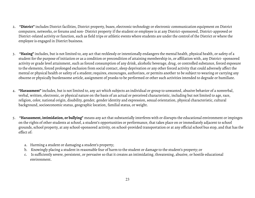- 2. **"District"**includes District facilities, District property, buses, electronic technology or electronic communication equipment on District computers, networks, or forums and non- District property if the student or employee is at any District-sponsored, District-approved or District-related activity or function, such as field trips or athletic events where students are under the control of the District or where the employee is engaged in District business.
- 3. **"Hazing"**includes, but is not limited to, any act that recklessly or intentionally endangers the mental health, physical health, or safety of a student for the purpose of initiation or as a condition or precondition of attaining membership in, or affiliation with, any District- sponsored activity or grade level attainment, such as forced consumption of any drink, alcoholic beverage, drug, or controlled substance, forced exposure to the elements, forced prolonged exclusion from social contact, sleep deprivation or any other forced activity that could adversely affect the mental or physical health or safety of a student; requires, encourages, authorizes, or permits another to be subject to wearing or carrying any obscene or physically burdensome article, assignment of pranks to be performed or other such activities intended to degrade or humiliate.
- 4. **"Harassment"**includes, but is not limited to, any act which subjects an individual or group to unwanted, abusive behavior of a nonverbal, verbal, written, electronic, or physical nature on the basis of an actual or perceived characteristic, including but not limited to age, race, religion, color, national origin, disability, gender, gender identity and expression, sexual orientation, physical characteristic, cultural background, socioeconomic status, geographic location, familial status, or weight.
- 5. **"Harassment, intimidation, or bullying"** means any act that substantially interferes with or disrupts the educational environment or impinges on the rights of other students at school, a student's opportunities or performance, that takes place on or immediately adjacent to school grounds, school property, at any school-sponsored activity, on school-provided transportation or at any official school bus stop, and that has the effect of:
	- a. Harming a student or damaging a student's property;
	- b. Knowingly placing a student in reasonable fear of harm to the student or damage to the student's property; or
	- c. Is sufficiently severe, persistent, or pervasive so that it creates an intimidating, threatening, abusive, or hostile educational environment.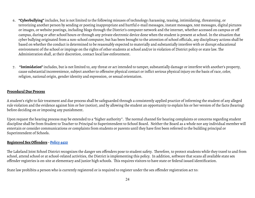- 6. **"Cyberbullying"**includes, but is not limited to the following misuses of technology: harassing, teasing, intimidating, threatening, or terrorizing another person by sending or posting inappropriate and hurtful e-mail messages, instant messages, text messages, digital pictures or images, or website postings, including blogs through the District's computer network and the internet, whether accessed on campus or off campus, during or after school hours or through any private electronic device done when the student is present at school.In the situation that cyber bullying originated from a non-school computer, but has been brought to the attention of school officials, any disciplinary actions shall be based on whether the conduct is determined to be reasonably expected to materially and substantially interfere with or disrupt educational environment of the school or impinge on the rights of other students at school and/or in violation of District policy or state law. The Administration shall, at their discretion, contact local law enforcement.
- 7. **"Intimidation"**includes, but is not limited to, any threat or act intended to tamper, substantially damage or interfere with another's property, cause substantial inconvenience, subject another to offensive physical contact or inflict serious physical injury on the basis of race, color, religion, national origin, gender identity and expression, or sexual orientation.

## **Procedural Due Process**

A student's right to fair treatment and due process shall be safeguarded through a consistently applied practice of informing the student of any alleged rule violation and the evidence against him or her (notice), and by allowing the student an opportunity to explain his or her version of the facts (hearing) before deciding on or imposing any punishment.

Upon request the hearing process may be extended to a "higher authority". The normal channel for hearing complaints or concerns regarding student discipline shall be from Student to Teacher to Principal to Superintendent to School Board. Neither the Board as a whole nor any individual member will entertain or consider communications or complaints from students or parents until they have first been referred to the building principal or Superintendent of Schools.

## **Registered Sex Offenders - [Policy](https://resources.finalsite.net/images/v1530248704/lakeland272org/i1lxwjhmpskj7jwatrv4/4420-SexOffenders.pdf) 4420**

The Lakeland Joint School District recognizes the danger sex offenders pose to student safety. Therefore, to protect students while they travel to and from school, attend school or at school-related activities, the District is implementing this policy. In addition, software that scans all available state sex offender registries is on-site at elementary and junior high schools. This requires visitors to have state or federal issued identification.

State law prohibits a person who is currently registered or is required to register under the sex offender registration act to: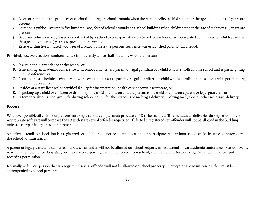- 1. Be on or remain on the premises of a school building or school grounds when the person believes children under the age of eighteen (18) years are present.
- 2. Loiter on a public way within five hundred (500) feet of school grounds or a school building when children under the age of eighteen (18) years are present.
- 3. Be in any vehicle owned, leased or contracted by a school to transport students to or from school or school-related activities when children under the age of eighteen (18) years are present in the vehicle.
- 4. Reside within five hundred (500) feet of a school, unless the person's residence was established prior to July 1, 2006.

Provided, however, section numbers 1 and 2 immediately above shall not apply when the person:

- A. Is a student in attendance at the school; or
- B. Is attending an academic conference with school officials as a parent or legal guardian of a child who is enrolled in the school and is participating in the conference; or
- C. Is attending a scheduled school event with school officials as a parent or legal guardian of a child who is enrolled in the school and is participating in the school event; or
- D. Resides at a state licensed or certified facility for incarceration, health care or convalescent care; or
- E. Is picking up a child or children or dropping off a child or children and the person is the child or children's parent or legal guardian; or
- F. Is temporarily on school grounds, during school hours, for the purposes of making a delivery involving mail, food or other necessary delivery.

## **Process**

Whenever possible all visitors or patrons entering a school campus must produce an ID to be scanned. This includes all deliveries during school hours. Appropriate software will compare the ID with state sexual offender registries. If alerted a registered sex offender will not be allowed in the building unless accompanied by an administrator.

A student attending school that is a registered sex offender will not be allowed to attend or participate in after hour school activities unless approved by the school administration.

A parent or legal guardian that is a registered sex offender will not be allowed on school property unless attending an academic conference or school event, in which their child is participating, or they are transporting their child to and from school, and then only after notifying the school principal and receiving permission.

Normally, a delivery person that is a registered sexual offender will not be allowed on school property. In exceptional circumstances, they must be accompanied by school personnel.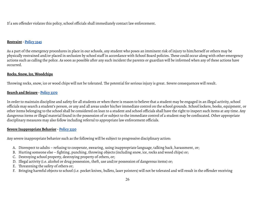If a sex offender violates this policy, school officials shall immediately contact law enforcement.

## **Restraint- [Policy](https://resources.finalsite.net/images/v1530247494/lakeland272org/kphdjavca8wx91bznfof/3345-UseofRestraintSeclusionandAversiveTechniquesforStudents.pdf) 3345**

As a part of the emergency procedures in place in our schools, any student who poses an imminent risk of injury to him/herself or others may be physically restrained and/or placed in seclusion by school staff in accordance with School Board policies. These could occur along with other emergency actions such as calling the police. As soon as possible after any such incident the parents or guardian will be informed when any of these actions have occurred.

## **Rocks, Snow,Ice,Woodchips**

Throwing rocks, snow, ice or wood chips will not be tolerated. The potential for serious injury is great. Severe consequences will result.

## **Search and Seizure - [Policy](https://resources.finalsite.net/images/v1530247495/lakeland272org/c5rnm0a4oqjgkst8zrz8/3370-SearchesandSeizure.pdf) 3370**

In order to maintain discipline and safety for all students or when there is reason to believe that a student may be engaged in an illegal activity, school officials may search a student's person, or any and all areas under his/her immediate control on the school grounds. School lockers, books, equipment, or other items belonging to the school shall be considered on loan to a student and school officials shall have the right to inspect such items at any time. Any dangerous items or illegal material found in the possession of or subject to the immediate control of a student may be confiscated. Other appropriate disciplinary measures may also follow including referral to appropriate law enforcement officials.

## **Severe Inappropriate Behavior - [Policy](https://resources.finalsite.net/images/v1530247494/lakeland272org/s2kx9avyjiqugpdenabo/3330-StudentDiscipline.pdf) 3330**

Any severe inappropriate behavior such as the following will be subject to progressive disciplinary action:

- A. Disrespect to adults refusing to cooperate, swearing, using inappropriate language, talking back, harassment, or;
- B. Hurting someone else fighting, punching, throwing objects (including snow, ice, rocks and wood chips) or;
- C. Destroying school property, destroying property of others, or;
- D. Illegal activity (i.e. alcohol or drug possession, theft, use and/or possession of dangerous items) or;
- E. Threatening the safety of others or;
- F. Bringing harmful objects to school (i.e. pocket knives, bullets, laser pointers) will not be tolerated and will result in the offender receiving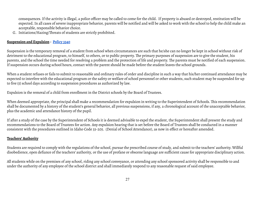consequences.If the activity is illegal, a police officer may be called to come for the child. If property is abused or destroyed,restitution will be expected.In all cases of severe inappropriate behavior, parents will be notified and will be asked to work with the school to help the child make an acceptable, responsible behavior choice.

G. Initiations/Hazing/Threats of students are strictly prohibited.

## **Suspension and Expulsion - [Policy](https://resources.finalsite.net/images/v1530247495/lakeland272org/i4zc5bzpliiauixnbytu/3340-CorrectiveActionsandPunishment.pdf) 3340**

Suspension is the temporary removal of a student from school when circumstances are such that he/she can no longer be kept in school without risk of detriment to the educational program, to himself, to others, or to public property. The primary purposes of suspension are to give the student, his parents, and the school the time needed for resolving a problem and the protection of life and property. The parents must be notified of each suspension. If suspension occurs during school hours, contact with the parent should be made before the student leaves the school grounds.

When a student refuses or fails to submit to reasonable and ordinary rules of order and discipline in such a way that his/her continued attendance may be expected to interfere with the educational program or the safety or welfare of school personnel or other students, such student may be suspended for up to five (5) school days according to suspension procedures as authorized by law.

Expulsion is the removal of a child from enrollment in the District schools by the Board of Trustees.

When deemed appropriate, the principal shall make a recommendation for expulsion in writing to the Superintendent of Schools. This recommendation shall be documented by a history of the student's general behavior, all previous suspensions, if any, a chronological account of the unacceptable behavior, plus the academic and attendance history of the pupil.

If after a study of the case by the Superintendent of Schools it is deemed advisable to expel the student, the Superintendent shall present the study and recommendations to the Board of Trustees for action. Any expulsion hearing that is set before the Board of Trustees shall be conducted in a manner consistent with the procedures outlined in Idaho Code 33-205. (Denial of School Attendance), as now in effect or hereafter amended.

## **Teachers'Authority**

Students are required to comply with the regulations of the school, pursue the prescribed course of study, and submit to the teachers' authority. Willful disobedience, open defiance of the teachers' authority, or the use of profane or obscene language are sufficient cause for appropriate disciplinary action.

All students while on the premises of any school, riding any school conveyance, or attending any school sponsored activity shall be responsible to and under the authority of any employee of the school district and shall immediately respond to any reasonable request of said employee.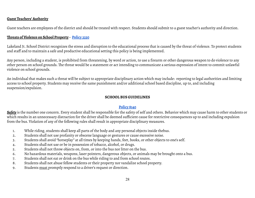#### **Guest Teachers'Authority**

Guest teachers are employees of the district and should be treated with respect. Students should submit to a guest teacher's authority and direction.

## **Threats of Violence on School Property - [Policy](https://resources.finalsite.net/images/v1530247494/lakeland272org/s2kx9avyjiqugpdenabo/3330-StudentDiscipline.pdf) 3330**

Lakeland Jt. School District recognizes the stress and disruption to the educational process that is caused by the threat of violence. To protect students and staff and to maintain a safe and productive educational setting this policy is being implemented.

Any person, including a student, is prohibited from threatening, by word or action, to use a firearm or other dangerous weapon to do violence to any other person on school grounds. The threat would be a statement or act intending to communicate a serious expression of intent to commit unlawful violence on school grounds.

An individual that makes such a threat will be subject to appropriate disciplinary action which may include: reporting to legal authorities and limiting access to school property. Students may receive the same punishment and/or additional school based discipline, up to, and including suspension/expulsion.

## **SCHOOL BUS GUIDELINES**

## **[Policy](https://resources.finalsite.net/images/v1530251305/lakeland272org/pc1ro9mktcxw08lwrbik/8140-StudentConductonBuses.pdf) 8140**

*Safety* is the number one concern. Every student shall be responsible for the safety of self and others. Behavior which may cause harm to other students or which results in an unnecessary distraction for the driver shall be deemed sufficient cause for restrictive consequences up to and including expulsion from the bus. Violation of any of the following rules shall result in appropriate disciplinary measures.

- 1. While riding, students shall keep all parts of the body and any personal objects inside thebus.
- 2. Students shall not use profanity or obscene language or gestures or cause excessive noise.
- 3. Students shall avoid "horseplay" at all times by keeping hands, feet, books, or other objects to one's self.
- 4. Students shall not use or be in possession of tobacco, alcohol, or drugs.
- 5. Students shall not throw objects on, from, or into the bus nor litter on the bus.
- 6. No hazardous materials, weapons, laser pointers, dangerous objects, or animals may be brought onto a bus.
- 7. Students shall not eat or drink on the bus while riding to and from school routes.
- 8. Students shall not abuse fellow students or their property nor vandalize school property.
- 9. Students must promptly respond to a driver's request or direction.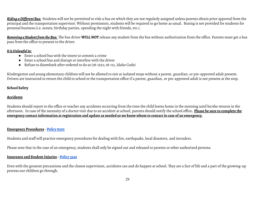*Riding aDifferentBus:* Students will not be permitted to ride a bus on which they are not regularly assigned unless parents obtain prior approval from the principal and the transportation supervisor. Without permission, students will be required to go home as usual. Busing is not provided for students for personal business (i.e. scouts, birthday parties, spending the night with friends, etc.).

*Removing a StudentfromtheBus:* The bus driver **WILL NOT** release any student from the bus without authorization from the office. Parents must get a bus pass from the office to present to the driver.

## *ItisUnlawfulto:*

- Enter a school bus with the intent to commit a crime
- Enter a school bus and disrupt or interfere with the driver
- Refuse to disembark after ordered to do so (18-1522; 18-113, Idaho Code)

Kindergarten and young elementary children will not be allowed to exit at isolated stops without a parent, guardian, or pre-approved adult present. Drivers are instructed to return the child to school or the transportation office if a parent, guardian, or pre-approved adult is not present at the stop.

## **School Safety**

## **Accidents**

Students should report to the office or teacher any accidents occurring from the time the child leaves home in the morning until he/she returns in the afternoon. In case of the necessity of a doctor visit due to an accident at school, parents should notify the school office**. Please be sure to complete the** emergency contact information at registration and update as needed so we know whom to contact in case of an emergency.

## **Emergency Procedures - [Policy](https://resources.finalsite.net/images/v1530251633/lakeland272org/kcxunozwrwd2nswpvulr/8300-EmergencyandDisasterPreparedness.pdf) 8300**

Students and staff will practice emergency procedures for dealing with fire, earthquake, local disasters, and intruders.

Please note that in the case of an emergency, students shall only be signed out and released to parents or other authorized persons.

## **Insurance and StudentInjuries - [Policy](https://resources.finalsite.net/images/v1530248039/lakeland272org/wi4ejtvevjqaslvvjrhj/3540-EmergencyTreatment.pdf) 3540**

Even with the greatest precautions and the closest supervision, accidents can and do happen at school. They are a fact of life and a part of the growing-up process our children go through.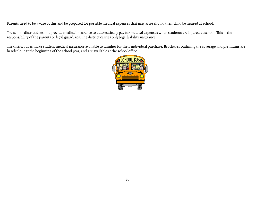Parents need to be aware of this and be prepared for possible medical expenses that may arise should their child be injured at school.

The school district does not provide medical insurance to automatically pay for medical expenses when students are injured at school. This is the responsibility of the parents or legal guardians. The district carries only legal liability insurance.

The district does make student medical insurance available to families for their individual purchase. Brochures outlining the coverage and premiums are handed out at the beginning of the school year, and are available at the school office.

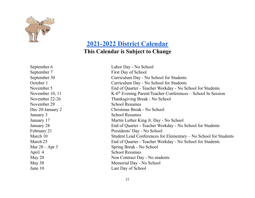

## **[2021-2022 District Calendar](https://resources.finalsite.net/images/v1621279986/lakeland272org/qql8su3uljgfsk8qhzee/DRAFT2021-22CALENDAR-Sheet13.pdf) This Calendar is Subject to Change**

November 10, 11 November 29 School Resumes January 3 School Resumes April 4 School Resumes

September 6 Labor Day - No School September 7 First Day of School September 30 Curriculum Day - No School for Students October 1 Curriculum Day - No School for Students November 5 End of Quarter - Teacher Workday - No School for Students  $K-6<sup>th</sup>$  Evening Parent/Teacher Conferences – School In Session November 22-26 Thanksgiving Break - No School Dec 20-January 2 Christmas Break - No School January 17 Martin Luther King Jr. Day - No School January 28 End of Quarter - Teacher Workday - No School for Students February 21 Presidents' Day - No School March 10 Student Lead Conferences for Elementary – No School for Students March 25 End of Quarter - Teacher Workday - No School for Students Mar  $28 -$ Apr 3 Spring Break - No School May 20 Non Contract Day - No students May 30 Memorial Day - No School June 10 Last Day of School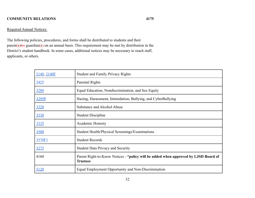## **COMMUNITY RELATIONS 4175**

## Required Annual Notices:

The following policies, procedures, and forms shall be distributed to students and their parent(s)/or guardian(s) on an annual basis. This requirement may be met by distribution in the District's student handbook. In some cases, additional notices may be necessary to reach staff, applicants, or others.

| 2140, 2140F | <b>Student and Family Privacy Rights</b>                                                               |
|-------------|--------------------------------------------------------------------------------------------------------|
| 2425        | Parental Rights                                                                                        |
| 3280        | Equal Education, Nondiscrimination, and Sex Equity                                                     |
| 3295P       | Hazing, Harassment, Intimidation, Bullying, and CyberBullying                                          |
| 3320        | Substance and Alcohol Abuse                                                                            |
| 3330        | <b>Student Discipline</b>                                                                              |
| 3335        | <b>Academic Honesty</b>                                                                                |
| 3500        | Student Health/Physical Screenings/Examinations                                                        |
| 3570F1      | <b>Student Records</b>                                                                                 |
| 3275        | <b>Student Data Privacy and Security</b>                                                               |
| 4160        | Parent Right-to-Know Notices - *policy will be added when approved by LJSD Board of<br><b>Trustees</b> |
| 5120        | Equal Employment Opportunity and Non-Discrimination                                                    |